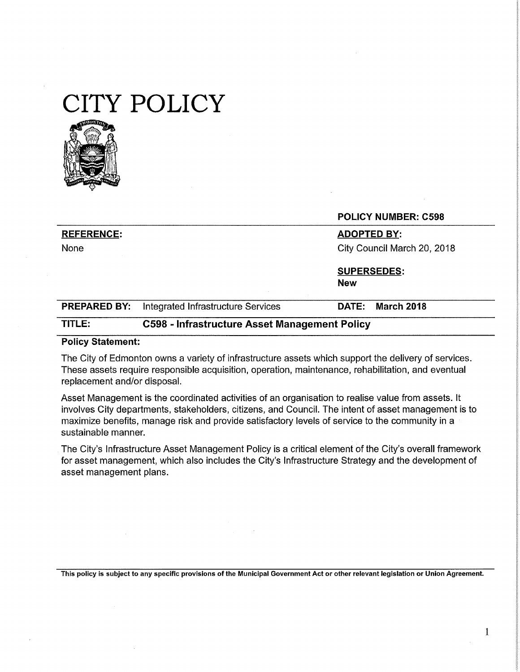# **CITY POLICY**



|                     |                                    | <b>POLICY NUMBER: C598</b>        |
|---------------------|------------------------------------|-----------------------------------|
| <b>REFERENCE:</b>   |                                    | <b>ADOPTED BY:</b>                |
| None                |                                    | City Council March 20, 2018       |
|                     |                                    | <b>SUPERSEDES:</b>                |
|                     |                                    | <b>New</b>                        |
| <b>PREPARED BY:</b> | Integrated Infrastructure Services | <b>March 2018</b><br><b>DATE:</b> |

## **TITLE: C598** - **Infrastructure Asset Management Policy**

#### **Policy Statement:**

The City of Edmonton owns a variety of infrastructure assets which support the delivery of services. These assets require responsible acquisition, operation, maintenance, rehabilitation, and eventual replacement and/or disposal.

Asset Management is the coordinated activities of an organisation to realise value from assets. It involves City departments, stakeholders, citizens, and Council. The intent of asset management is to maximize benefits, manage risk and provide satisfactory levels of service to the community in a sustainable manner.

The City's Infrastructure Asset Management Policy is a critical element of the City's overall framework for asset management, which also includes the City's Infrastructure Strategy and the development of asset management plans.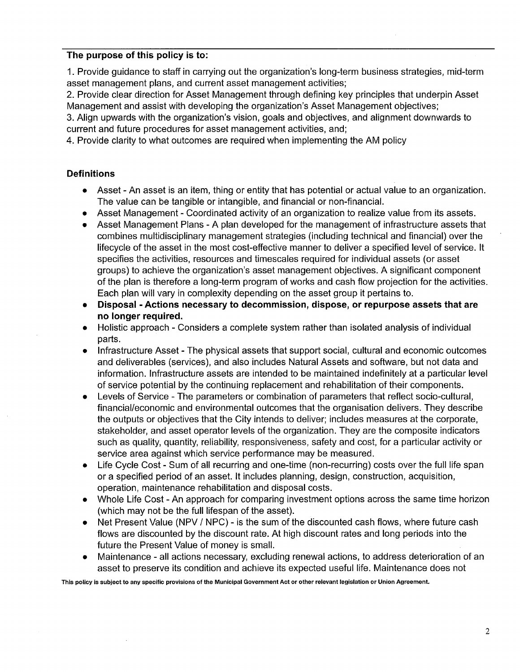## **The purpose of this policy is to:**

1. Provide guidance to staff in carrying out the organization's long-term business strategies, mid-term asset management plans, and current asset management activities;

2. Provide clear direction for Asset Management through defining key principles that underpin Asset Management and assist with developing the organization's Asset Management objectives;

3. Align upwards with the organization's vision, goals and objectives, and alignment downwards to current and future procedures for asset management activities, and;

4. Provide clarity to what outcomes are required when implementing the AM policy

## **Definitions**

- Asset An asset is an item, thing or entity that has potential or actual value to an organization. The value can be tangible or intangible, and financial or non-financial.
- Asset Management Coordinated activity of an organization to realize value from its assets.
- Asset Management Plans A plan developed for the management of infrastructure assets that combines multidisciplinary management strategies (including technical and financial) over the lifecycle of the asset in the most cost-effective manner to deliver a specified level of service. It specifies the activities, resources and timescales required for individual assets (or asset groups) to achieve the organization's asset management objectives. A significant component of the plan is therefore a long-term program of works and cash flow projection for the activities. Each plan will vary in complexity depending on the asset group it pertains to.
- **Disposal - Actions necessary to decommission, dispose, or repurpose assets that are no longer required.**
- Holistic approach Considers a complete system rather than isolated analysis of individual parts.
- Infrastructure Asset The physical assets that support social, cultural and economic outcomes and deliverables (services), and also includes Natural Assets and software, but not data and information. Infrastructure assets are intended to be maintained indefinitely at a particular level of service potential by the continuing replacement and rehabilitation of their components.
- Levels of Service The parameters or combination of parameters that reflect socio-cultural, financial/economic and environmental outcomes that the organisation delivers. They describe the outputs or objectives that the City intends to deliver; includes measures at the corporate, stakeholder, and asset operator levels of the organization. They are the composite indicators such as quality, quantity, reliability, responsiveness, safety and cost, for a particular activity or service area against which service performance may be measured.
- Life Cycle Cost Sum of all recurring and one-time (non-recurring) costs over the full life span or a specified period of an asset. It includes planning, design, construction, acquisition, operation, maintenance rehabilitation and disposal costs.
- Whole Life Cost An approach for comparing investment options across the same time horizon (which may not be the full lifespan of the asset).
- Net Present Value (NPV / NPC) is the sum of the discounted cash flows, where future cash flows are discounted by the discount rate. At high discount rates and long periods into the future the Present Value of money is small.
- Maintenance all actions necessary, excluding renewal actions, to address deterioration of an asset to preserve its condition and achieve its expected useful life. Maintenance does not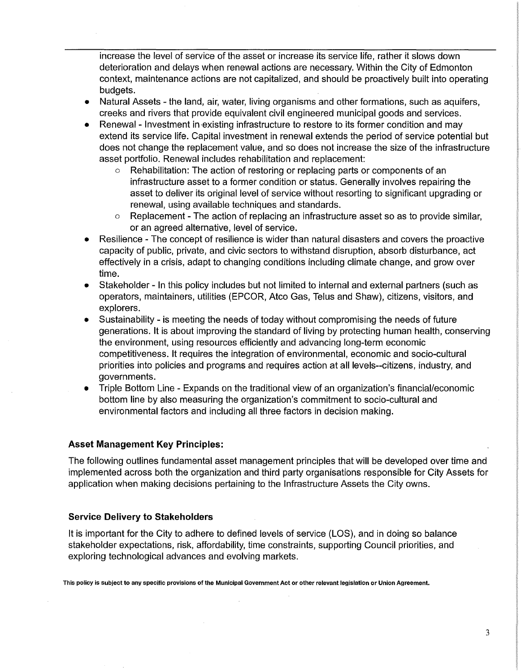increase the level of service of the asset or increase its service life, rather it slows down deterioration and delays when renewal actions are necessary. Within the City of Edmonton context, maintenance actions are not capitalized, and should be proactively built into operating budgets.

- Natural Assets the land, air, water, living organisms and other formations, such as aquifers, creeks and rivers that provide equivalent civil engineered municipal goods and services.
- Renewal Investment in-existing infrastructure to restore to its former condition and may extend its service life. Capital investment in renewal extends the period of service potential but does not change the replacement value, and so does not increase the size of the infrastructure asset portfolio. Renewal includes rehabilitation and replacement:
	- o Rehabilitation: The action of restoring or replacing parts or components of an infrastructure asset to a former condition or status. Generally involves repairing the asset to deliver its original level of service without resorting to significant upgrading or renewal, using available techniques and standards.
	- $\circ$  Replacement The action of replacing an infrastructure asset so as to provide similar, or an agreed alternative, level of service.
- Resilience The concept of resilience is wider than natural disasters and covers the proactive capacity of public, private, and civic sectors to withstand disruption, absorb disturbance, act effectively in a crisis, adapt to changing conditions including climate change, and grow over time.
- Stakeholder In this policy includes but not limited to internal and external partners (such as operators, maintainers, utilities (EPCOR, Atco Gas, Telus and Shaw), citizens, visitors, and explorers.
- Sustainability is meeting the needs of today without compromising the needs of future generations. It is about improving the standard of living by protecting human health, conserving the environment, using resources efficiently and advancing long-term economic competitiveness. It requires the integration of environmental, economic and socio-cultural priorities into policies and programs and requires action at all levels--citizens, industry, and governments.
- Triple Bottom Line Expands on the traditional view of an organization's financial/economic bottom line by also measuring the organization's commitment to socio-cultural and environmental factors and including all three factors in decision making.

## **Asset Management Key Principles:**

The following outlines fundamental asset management principles that will be developed over time and implemented across both the organization and third party organisations responsible for City Assets for application when making decisions pertaining to the Infrastructure Assets the City owns.

#### **Service Delivery to Stakeholders**

It is important for the City to adhere to defined levels of service (LOS), and in doing so balance stakeholder expectations, risk, affordability, time constraints, supporting Council priorities, and exploring technological advances and evolving markets.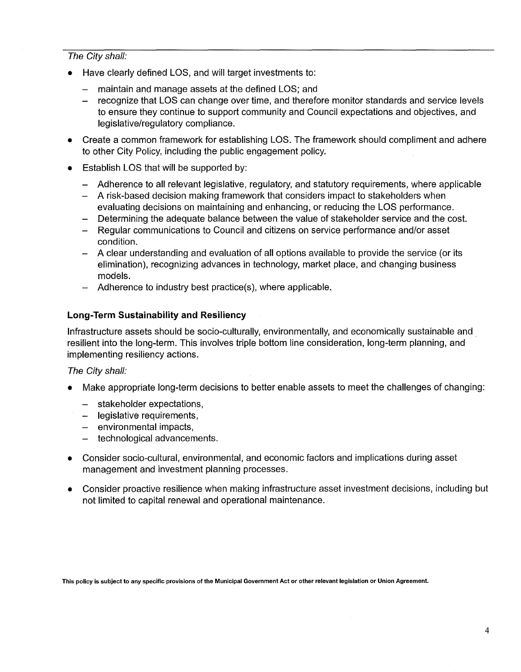### The City shall:

- Have clearly defined LOS, and will target investments to:
	- $\frac{1}{2}$ maintain and manage assets at the defined LOS; and
	- recognize that LOS can change over time, and therefore monitor standards and service levels to ensure they continue to support community and Council expectations and objectives, and legislative/regulatory compliance.
- Create a common framework for establishing LOS. The framework should compliment and adhere to other City Policy, including the public engagement policy.
- Establish LOS that will be supported by:
	- Adherence to all relevant legislative, regulatory, and statutory requirements, where applicable
	- A risk-based decision making framework that considers impact to stakeholders when evaluating decisions on maintaining and enhancing, or reducing the LOS performance.
	- Determining the adequate balance between the value of stakeholder service and the cost.
	- Regular communications to Council and citizens on service performance and/or asset condition.
	- A clear understanding and evaluation of all options available to provide the service (or its elimination), recognizing advances in technology, market place, and changing business models.
	- Adherence to industry best practice(s), where applicable.

## **Long-Term Sustainability and Resiliency**

Infrastructure assets should be socio-culturally, environmentally, and economically sustainable and . resilient into the long-term. This involves triple bottom line consideration, long-term planning, and implementing resiliency actions.

#### The City shall:

- Make appropriate long-term decisions to better enable assets to meet the challenges of changing:
	- stakeholder expectations,
	- legislative requirements,
	- $-$  environmental impacts,
	- technological advancements.  $\overline{\phantom{0}}$
- Consider socio-cultural, environmental, and economic factors and implications during asset management and investment planning processes.
- Consider proactive resilience when making infrastructure asset investment decisions, including but not limited to capital renewal and operational maintenance.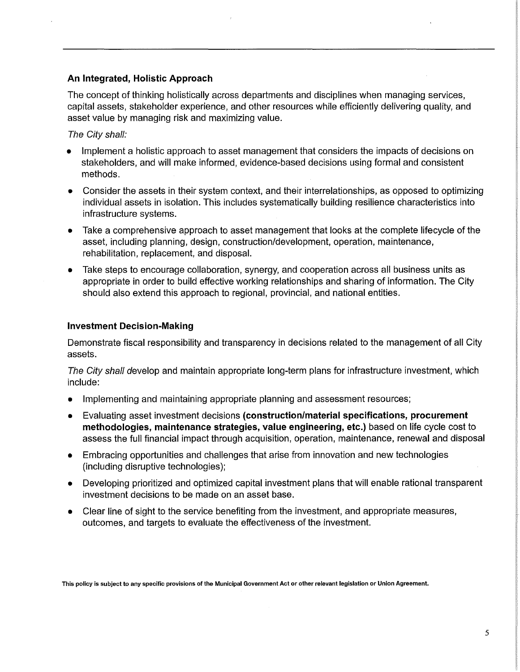## **An Integrated, Holistic Approach**

The concept of thinking holistically across departments and disciplines when managing services, capital assets, stakeholder experience, and other resources while efficiently delivering quality, and asset value by managing risk and maximizing value.

#### The City shall:

- Implement a holistic approach to asset management that considers the impacts of decisions on stakeholders, and will make informed, evidence-based decisions using formal and consistent methods.
- Consider the assets in their system context, and their interrelationships, as opposed to optimizing individual assets in isolation. This includes systematically building resilience characteristics into infrastructure systems.
- Take a comprehensive approach to asset management that looks at the complete lifecycle of the asset, including planning, design, construction/development, operation, maintenance, rehabilitation, replacement, and disposal.
- Take steps to encourage collaboration, synergy, and cooperation across all business units as appropriate in order to build effective working relationships and sharing of information. The City should also extend this approach to regional, provincial, and national entities.

#### **Investment Decision-Making**

Demonstrate fiscal responsibility and transparency in decisions related to the management of all City assets.

The City shall develop and maintain appropriate long-term plans for infrastructure investment, which include:

- Implementing and maintaining appropriate planning and assessment resources;
- Evaluating asset investment decisions **(construction/material specifications, procurement methodologies, maintenance strategies, value engineering, etc.)** based on life cycle cost to assess the full financial impact through acquisition, operation, maintenance, renewal and disposal
- Embracing opportunities and challenges that arise from innovation and new technologies (including disruptive technologies);
- Developing prioritized and optimized capital investment plans that will enable rational transparent investment decisions to be made on an asset base.
- Clear line of sight to the service benefiting from the investment, and appropriate measures, outcomes, and targets to evaluate the effectiveness of the investment.